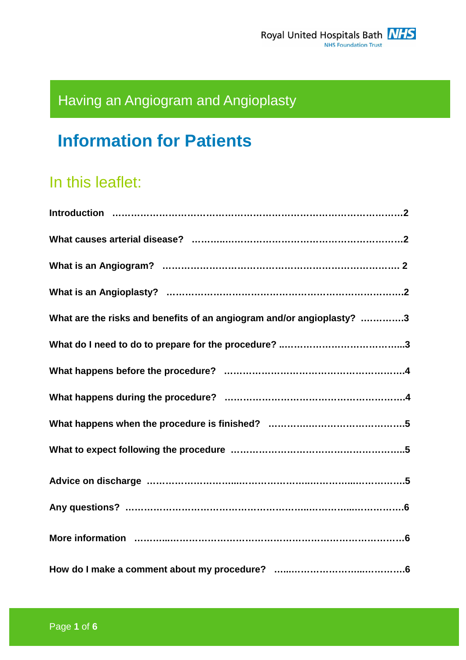# Having an Angiogram and Angioplasty

# **Information for Patients**

## In this leaflet:

| What are the risks and benefits of an angiogram and/or angioplasty? 3 |
|-----------------------------------------------------------------------|
|                                                                       |
|                                                                       |
|                                                                       |
|                                                                       |
|                                                                       |
|                                                                       |
|                                                                       |
|                                                                       |
|                                                                       |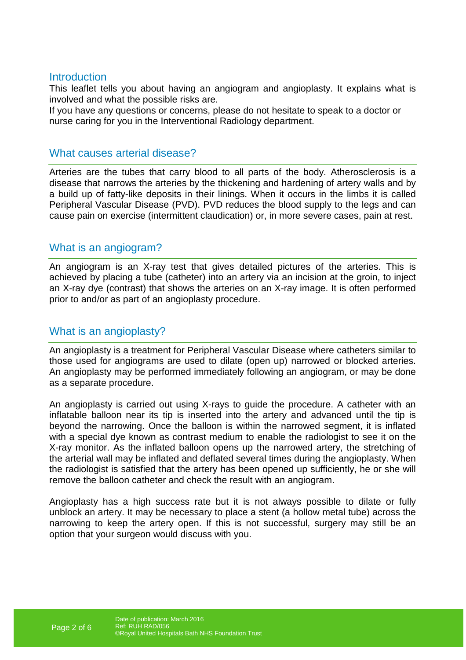#### **Introduction**

This leaflet tells you about having an angiogram and angioplasty. It explains what is involved and what the possible risks are.

If you have any questions or concerns, please do not hesitate to speak to a doctor or nurse caring for you in the Interventional Radiology department.

#### What causes arterial disease?

Arteries are the tubes that carry blood to all parts of the body. Atherosclerosis is a disease that narrows the arteries by the thickening and hardening of artery walls and by a build up of fatty-like deposits in their linings. When it occurs in the limbs it is called Peripheral Vascular Disease (PVD). PVD reduces the blood supply to the legs and can cause pain on exercise (intermittent claudication) or, in more severe cases, pain at rest.

#### What is an angiogram?

An angiogram is an X-ray test that gives detailed pictures of the arteries. This is achieved by placing a tube (catheter) into an artery via an incision at the groin, to inject an X-ray dye (contrast) that shows the arteries on an X-ray image. It is often performed prior to and/or as part of an angioplasty procedure.

#### What is an angioplasty?

An angioplasty is a treatment for Peripheral Vascular Disease where catheters similar to those used for angiograms are used to dilate (open up) narrowed or blocked arteries. An angioplasty may be performed immediately following an angiogram, or may be done as a separate procedure.

An angioplasty is carried out using X-rays to guide the procedure. A catheter with an inflatable balloon near its tip is inserted into the artery and advanced until the tip is beyond the narrowing. Once the balloon is within the narrowed segment, it is inflated with a special dye known as contrast medium to enable the radiologist to see it on the X-ray monitor. As the inflated balloon opens up the narrowed artery, the stretching of the arterial wall may be inflated and deflated several times during the angioplasty. When the radiologist is satisfied that the artery has been opened up sufficiently, he or she will remove the balloon catheter and check the result with an angiogram.

Angioplasty has a high success rate but it is not always possible to dilate or fully unblock an artery. It may be necessary to place a stent (a hollow metal tube) across the narrowing to keep the artery open. If this is not successful, surgery may still be an option that your surgeon would discuss with you.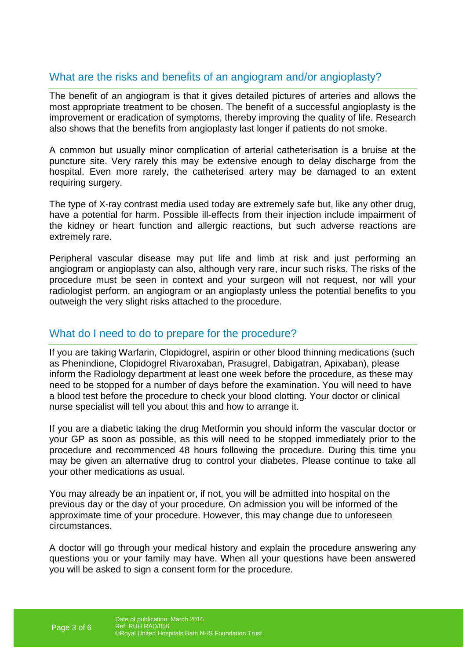### What are the risks and benefits of an angiogram and/or angioplasty?

The benefit of an angiogram is that it gives detailed pictures of arteries and allows the most appropriate treatment to be chosen. The benefit of a successful angioplasty is the improvement or eradication of symptoms, thereby improving the quality of life. Research also shows that the benefits from angioplasty last longer if patients do not smoke.

A common but usually minor complication of arterial catheterisation is a bruise at the puncture site. Very rarely this may be extensive enough to delay discharge from the hospital. Even more rarely, the catheterised artery may be damaged to an extent requiring surgery.

The type of X-ray contrast media used today are extremely safe but, like any other drug, have a potential for harm. Possible ill-effects from their injection include impairment of the kidney or heart function and allergic reactions, but such adverse reactions are extremely rare.

Peripheral vascular disease may put life and limb at risk and just performing an angiogram or angioplasty can also, although very rare, incur such risks. The risks of the procedure must be seen in context and your surgeon will not request, nor will your radiologist perform, an angiogram or an angioplasty unless the potential benefits to you outweigh the very slight risks attached to the procedure.

#### What do I need to do to prepare for the procedure?

If you are taking Warfarin, Clopidogrel, aspirin or other blood thinning medications (such as Phenindione, Clopidogrel Rivaroxaban, Prasugrel, Dabigatran, Apixaban), please inform the Radiology department at least one week before the procedure, as these may need to be stopped for a number of days before the examination. You will need to have a blood test before the procedure to check your blood clotting. Your doctor or clinical nurse specialist will tell you about this and how to arrange it.

If you are a diabetic taking the drug Metformin you should inform the vascular doctor or your GP as soon as possible, as this will need to be stopped immediately prior to the procedure and recommenced 48 hours following the procedure. During this time you may be given an alternative drug to control your diabetes. Please continue to take all your other medications as usual.

You may already be an inpatient or, if not, you will be admitted into hospital on the previous day or the day of your procedure. On admission you will be informed of the approximate time of your procedure. However, this may change due to unforeseen circumstances.

A doctor will go through your medical history and explain the procedure answering any questions you or your family may have. When all your questions have been answered you will be asked to sign a consent form for the procedure.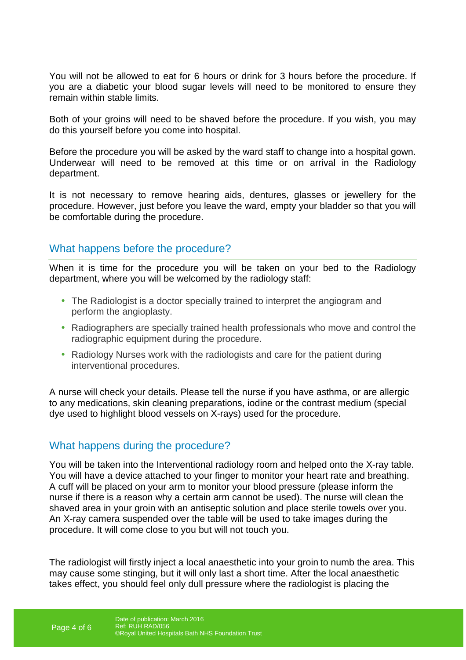You will not be allowed to eat for 6 hours or drink for 3 hours before the procedure. If you are a diabetic your blood sugar levels will need to be monitored to ensure they remain within stable limits.

Both of your groins will need to be shaved before the procedure. If you wish, you may do this yourself before you come into hospital.

Before the procedure you will be asked by the ward staff to change into a hospital gown. Underwear will need to be removed at this time or on arrival in the Radiology department.

It is not necessary to remove hearing aids, dentures, glasses or jewellery for the procedure. However, just before you leave the ward, empty your bladder so that you will be comfortable during the procedure.

#### What happens before the procedure?

When it is time for the procedure you will be taken on your bed to the Radiology department, where you will be welcomed by the radiology staff:

- The Radiologist is a doctor specially trained to interpret the angiogram and perform the angioplasty.
- Radiographers are specially trained health professionals who move and control the radiographic equipment during the procedure.
- Radiology Nurses work with the radiologists and care for the patient during interventional procedures.

A nurse will check your details. Please tell the nurse if you have asthma, or are allergic to any medications, skin cleaning preparations, iodine or the contrast medium (special dye used to highlight blood vessels on X-rays) used for the procedure.

#### What happens during the procedure?

You will be taken into the Interventional radiology room and helped onto the X-ray table. You will have a device attached to your finger to monitor your heart rate and breathing. A cuff will be placed on your arm to monitor your blood pressure (please inform the nurse if there is a reason why a certain arm cannot be used). The nurse will clean the shaved area in your groin with an antiseptic solution and place sterile towels over you. An X-ray camera suspended over the table will be used to take images during the procedure. It will come close to you but will not touch you.

The radiologist will firstly inject a local anaesthetic into your groin to numb the area. This may cause some stinging, but it will only last a short time. After the local anaesthetic takes effect, you should feel only dull pressure where the radiologist is placing the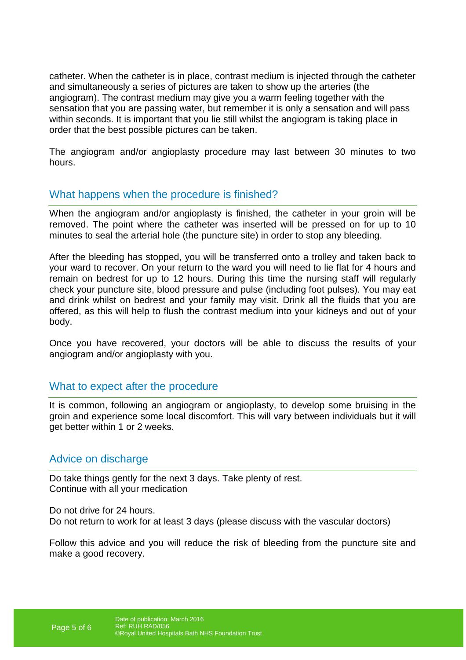catheter. When the catheter is in place, contrast medium is injected through the catheter and simultaneously a series of pictures are taken to show up the arteries (the angiogram). The contrast medium may give you a warm feeling together with the sensation that you are passing water, but remember it is only a sensation and will pass within seconds. It is important that you lie still whilst the angiogram is taking place in order that the best possible pictures can be taken.

The angiogram and/or angioplasty procedure may last between 30 minutes to two hours.

#### What happens when the procedure is finished?

When the angiogram and/or angioplasty is finished, the catheter in your groin will be removed. The point where the catheter was inserted will be pressed on for up to 10 minutes to seal the arterial hole (the puncture site) in order to stop any bleeding.

After the bleeding has stopped, you will be transferred onto a trolley and taken back to your ward to recover. On your return to the ward you will need to lie flat for 4 hours and remain on bedrest for up to 12 hours. During this time the nursing staff will regularly check your puncture site, blood pressure and pulse (including foot pulses). You may eat and drink whilst on bedrest and your family may visit. Drink all the fluids that you are offered, as this will help to flush the contrast medium into your kidneys and out of your body.

Once you have recovered, your doctors will be able to discuss the results of your angiogram and/or angioplasty with you.

#### What to expect after the procedure

It is common, following an angiogram or angioplasty, to develop some bruising in the groin and experience some local discomfort. This will vary between individuals but it will get better within 1 or 2 weeks.

#### Advice on discharge

Do take things gently for the next 3 days. Take plenty of rest. Continue with all your medication

Do not drive for 24 hours. Do not return to work for at least 3 days (please discuss with the vascular doctors)

Follow this advice and you will reduce the risk of bleeding from the puncture site and make a good recovery.